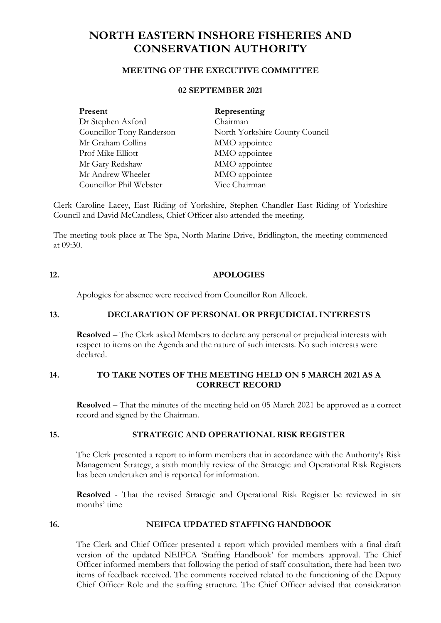# **NORTH EASTERN INSHORE FISHERIES AND CONSERVATION AUTHORITY**

# **MEETING OF THE EXECUTIVE COMMITTEE**

# **02 SEPTEMBER 2021**

| Present                   | Representing                   |
|---------------------------|--------------------------------|
| Dr Stephen Axford         | Chairman                       |
| Councillor Tony Randerson | North Yorkshire County Council |
| Mr Graham Collins         | MMO appointee                  |
| Prof Mike Elliott         | MMO appointee                  |
| Mr Gary Redshaw           | MMO appointee                  |
| Mr Andrew Wheeler         | MMO appointee                  |
| Councillor Phil Webster   | Vice Chairman                  |

Clerk Caroline Lacey, East Riding of Yorkshire, Stephen Chandler East Riding of Yorkshire Council and David McCandless, Chief Officer also attended the meeting.

The meeting took place at The Spa, North Marine Drive, Bridlington, the meeting commenced at 09:30.

#### **12. APOLOGIES**

Apologies for absence were received from Councillor Ron Allcock.

#### **13. DECLARATION OF PERSONAL OR PREJUDICIAL INTERESTS**

**Resolved** – The Clerk asked Members to declare any personal or prejudicial interests with respect to items on the Agenda and the nature of such interests. No such interests were declared.

### **14. TO TAKE NOTES OF THE MEETING HELD ON 5 MARCH 2021 AS A CORRECT RECORD**

**Resolved** – That the minutes of the meeting held on 05 March 2021 be approved as a correct record and signed by the Chairman.

### **15. STRATEGIC AND OPERATIONAL RISK REGISTER**

The Clerk presented a report to inform members that in accordance with the Authority's Risk Management Strategy, a sixth monthly review of the Strategic and Operational Risk Registers has been undertaken and is reported for information.

**Resolved** - That the revised Strategic and Operational Risk Register be reviewed in six months' time

## **16. NEIFCA UPDATED STAFFING HANDBOOK**

The Clerk and Chief Officer presented a report which provided members with a final draft version of the updated NEIFCA 'Staffing Handbook' for members approval. The Chief Officer informed members that following the period of staff consultation, there had been two items of feedback received. The comments received related to the functioning of the Deputy Chief Officer Role and the staffing structure. The Chief Officer advised that consideration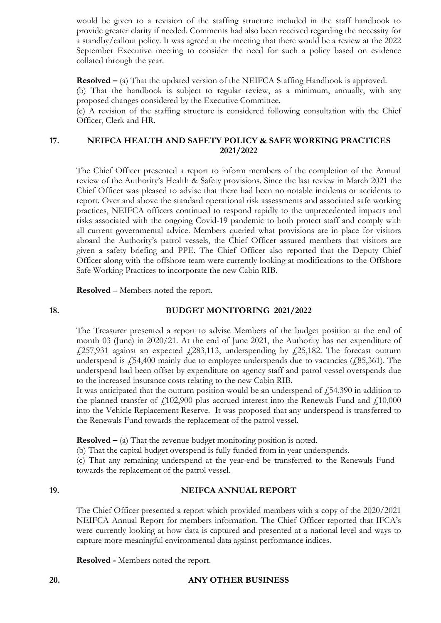would be given to a revision of the staffing structure included in the staff handbook to provide greater clarity if needed. Comments had also been received regarding the necessity for a standby/callout policy. It was agreed at the meeting that there would be a review at the 2022 September Executive meeting to consider the need for such a policy based on evidence collated through the year.

**Resolved** – (a) That the updated version of the NEIFCA Staffing Handbook is approved. (b) That the handbook is subject to regular review, as a minimum, annually, with any proposed changes considered by the Executive Committee.

(c) A revision of the staffing structure is considered following consultation with the Chief Officer, Clerk and HR.

# **17. NEIFCA HEALTH AND SAFETY POLICY & SAFE WORKING PRACTICES 2021/2022**

The Chief Officer presented a report to inform members of the completion of the Annual review of the Authority's Health & Safety provisions. Since the last review in March 2021 the Chief Officer was pleased to advise that there had been no notable incidents or accidents to report. Over and above the standard operational risk assessments and associated safe working practices, NEIFCA officers continued to respond rapidly to the unprecedented impacts and risks associated with the ongoing Covid-19 pandemic to both protect staff and comply with all current governmental advice. Members queried what provisions are in place for visitors aboard the Authority's patrol vessels, the Chief Officer assured members that visitors are given a safety briefing and PPE. The Chief Officer also reported that the Deputy Chief Officer along with the offshore team were currently looking at modifications to the Offshore Safe Working Practices to incorporate the new Cabin RIB.

**Resolved** – Members noted the report.

# **18. BUDGET MONITORING 2021/2022**

The Treasurer presented a report to advise Members of the budget position at the end of month 03 (June) in 2020/21. At the end of June 2021, the Authority has net expenditure of £257,931 against an expected £283,113, underspending by £25,182. The forecast outturn underspend is  $\angle 54,400$  mainly due to employee underspends due to vacancies ( $\angle 85,361$ ). The underspend had been offset by expenditure on agency staff and patrol vessel overspends due to the increased insurance costs relating to the new Cabin RIB.

It was anticipated that the outturn position would be an underspend of  $\ddot{=}$  54,390 in addition to the planned transfer of  $f(102,900)$  plus accrued interest into the Renewals Fund and  $f(10,000)$ into the Vehicle Replacement Reserve. It was proposed that any underspend is transferred to the Renewals Fund towards the replacement of the patrol vessel.

**Resolved –** (a) That the revenue budget monitoring position is noted.

(b) That the capital budget overspend is fully funded from in year underspends.

(c) That any remaining underspend at the year-end be transferred to the Renewals Fund towards the replacement of the patrol vessel.

### **19. NEIFCA ANNUAL REPORT**

The Chief Officer presented a report which provided members with a copy of the 2020/2021 NEIFCA Annual Report for members information. The Chief Officer reported that IFCA's were currently looking at how data is captured and presented at a national level and ways to capture more meaningful environmental data against performance indices.

**Resolved -** Members noted the report.